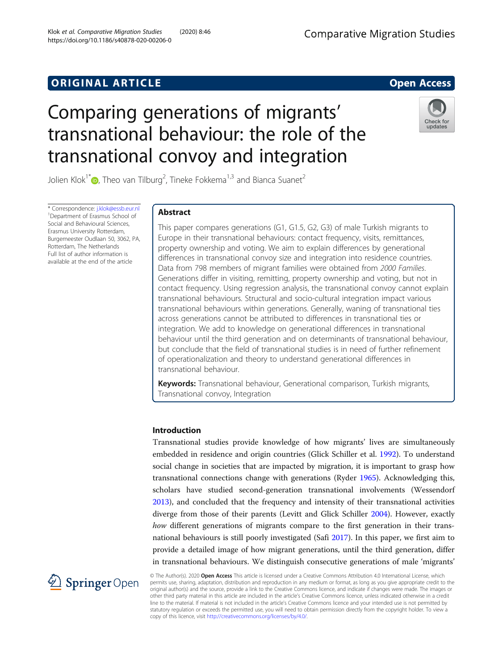# **ORIGINAL ARTICLE CONSUMING A LIGACION** CONSUMING A LIGACION CONSUMING A LIGACION CONSUMING A LIGACION CONSUMING A LIGACION CONSUMING A LIGACION CONSUMING A LIGACION CONSUMING A LIGACION CONSUMING A LIGACION CONSUMING A

# Comparing generations of migrants' transnational behaviour: the role of the transnational convoy and integration

Jolien Klok $^{\dagger}$  (D[,](http://orcid.org/0000-0001-9896-3937) Theo van Tilburg<sup>2</sup>, Tineke Fokkema<sup>1,3</sup> and Bianca Suanet<sup>2</sup>

\* Correspondence: [j.klok@essb.eur.nl](mailto:j.klok@essb.eur.nl) <sup>1</sup> <sup>1</sup>Department of Erasmus School of Social and Behavioural Sciences, Erasmus University Rotterdam, Burgemeester Oudlaan 50, 3062, PA, Rotterdam, The Netherlands Full list of author information is available at the end of the article

# Abstract

This paper compares generations (G1, G1.5, G2, G3) of male Turkish migrants to Europe in their transnational behaviours: contact frequency, visits, remittances, property ownership and voting. We aim to explain differences by generational differences in transnational convoy size and integration into residence countries. Data from 798 members of migrant families were obtained from 2000 Families. Generations differ in visiting, remitting, property ownership and voting, but not in contact frequency. Using regression analysis, the transnational convoy cannot explain transnational behaviours. Structural and socio-cultural integration impact various transnational behaviours within generations. Generally, waning of transnational ties across generations cannot be attributed to differences in transnational ties or integration. We add to knowledge on generational differences in transnational behaviour until the third generation and on determinants of transnational behaviour, but conclude that the field of transnational studies is in need of further refinement of operationalization and theory to understand generational differences in transnational behaviour.

Keywords: Transnational behaviour, Generational comparison, Turkish migrants, Transnational convoy, Integration

# Introduction

Transnational studies provide knowledge of how migrants' lives are simultaneously embedded in residence and origin countries (Glick Schiller et al. [1992](#page-19-0)). To understand social change in societies that are impacted by migration, it is important to grasp how transnational connections change with generations (Ryder [1965\)](#page-20-0). Acknowledging this, scholars have studied second-generation transnational involvements (Wessendorf [2013](#page-20-0)), and concluded that the frequency and intensity of their transnational activities diverge from those of their parents (Levitt and Glick Schiller [2004](#page-20-0)). However, exactly how different generations of migrants compare to the first generation in their transnational behaviours is still poorly investigated (Safi [2017](#page-20-0)). In this paper, we first aim to provide a detailed image of how migrant generations, until the third generation, differ in transnational behaviours. We distinguish consecutive generations of male 'migrants'

© The Author(s). 2020 Open Access This article is licensed under a Creative Commons Attribution 4.0 International License, which permits use, sharing, adaptation, distribution and reproduction in any medium or format, as long as you give appropriate credit to the original author(s) and the source, provide a link to the Creative Commons licence, and indicate if changes were made. The images or other third party material in this article are included in the article's Creative Commons licence, unless indicated otherwise in a credit line to the material. If material is not included in the article's Creative Commons licence and your intended use is not permitted by statutory regulation or exceeds the permitted use, you will need to obtain permission directly from the copyright holder. To view a copy of this licence, visit <http://creativecommons.org/licenses/by/4.0/>.



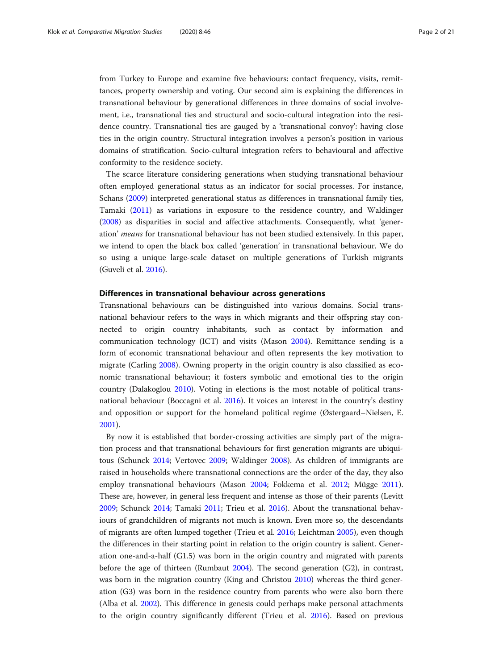from Turkey to Europe and examine five behaviours: contact frequency, visits, remittances, property ownership and voting. Our second aim is explaining the differences in transnational behaviour by generational differences in three domains of social involvement, i.e., transnational ties and structural and socio-cultural integration into the residence country. Transnational ties are gauged by a 'transnational convoy': having close ties in the origin country. Structural integration involves a person's position in various domains of stratification. Socio-cultural integration refers to behavioural and affective conformity to the residence society.

The scarce literature considering generations when studying transnational behaviour often employed generational status as an indicator for social processes. For instance, Schans [\(2009\)](#page-20-0) interpreted generational status as differences in transnational family ties, Tamaki [\(2011\)](#page-20-0) as variations in exposure to the residence country, and Waldinger ([2008](#page-20-0)) as disparities in social and affective attachments. Consequently, what 'generation' means for transnational behaviour has not been studied extensively. In this paper, we intend to open the black box called 'generation' in transnational behaviour. We do so using a unique large-scale dataset on multiple generations of Turkish migrants (Guveli et al. [2016\)](#page-19-0).

# Differences in transnational behaviour across generations

Transnational behaviours can be distinguished into various domains. Social transnational behaviour refers to the ways in which migrants and their offspring stay connected to origin country inhabitants, such as contact by information and communication technology (ICT) and visits (Mason [2004](#page-20-0)). Remittance sending is a form of economic transnational behaviour and often represents the key motivation to migrate (Carling [2008](#page-19-0)). Owning property in the origin country is also classified as economic transnational behaviour; it fosters symbolic and emotional ties to the origin country (Dalakoglou [2010](#page-19-0)). Voting in elections is the most notable of political transnational behaviour (Boccagni et al. [2016](#page-19-0)). It voices an interest in the country's destiny and opposition or support for the homeland political regime (Østergaard–Nielsen, E. [2001](#page-20-0)).

By now it is established that border-crossing activities are simply part of the migration process and that transnational behaviours for first generation migrants are ubiquitous (Schunck [2014;](#page-20-0) Vertovec [2009](#page-20-0); Waldinger [2008](#page-20-0)). As children of immigrants are raised in households where transnational connections are the order of the day, they also employ transnational behaviours (Mason [2004](#page-20-0); Fokkema et al. [2012](#page-19-0); Mügge [2011](#page-20-0)). These are, however, in general less frequent and intense as those of their parents (Levitt [2009](#page-20-0); Schunck [2014](#page-20-0); Tamaki [2011;](#page-20-0) Trieu et al. [2016\)](#page-20-0). About the transnational behaviours of grandchildren of migrants not much is known. Even more so, the descendants of migrants are often lumped together (Trieu et al. [2016;](#page-20-0) Leichtman [2005\)](#page-20-0), even though the differences in their starting point in relation to the origin country is salient. Generation one-and-a-half (G1.5) was born in the origin country and migrated with parents before the age of thirteen (Rumbaut [2004](#page-20-0)). The second generation (G2), in contrast, was born in the migration country (King and Christou [2010\)](#page-20-0) whereas the third generation (G3) was born in the residence country from parents who were also born there (Alba et al. [2002](#page-19-0)). This difference in genesis could perhaps make personal attachments to the origin country significantly different (Trieu et al. [2016\)](#page-20-0). Based on previous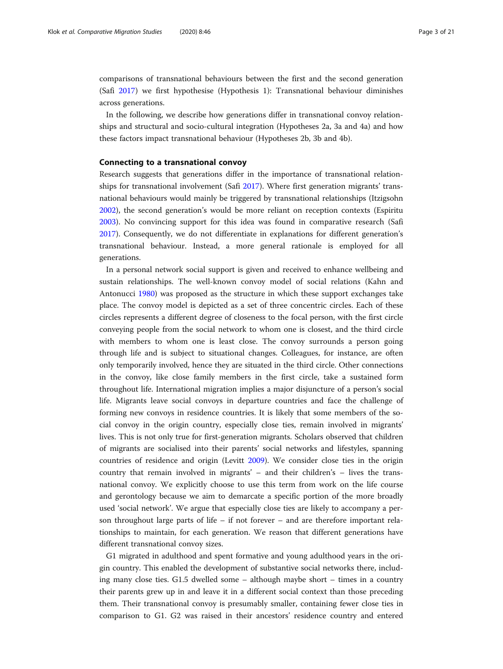comparisons of transnational behaviours between the first and the second generation (Safi [2017](#page-20-0)) we first hypothesise (Hypothesis 1): Transnational behaviour diminishes across generations.

In the following, we describe how generations differ in transnational convoy relationships and structural and socio-cultural integration (Hypotheses 2a, 3a and 4a) and how these factors impact transnational behaviour (Hypotheses 2b, 3b and 4b).

### Connecting to a transnational convoy

Research suggests that generations differ in the importance of transnational relationships for transnational involvement (Safi [2017](#page-20-0)). Where first generation migrants' transnational behaviours would mainly be triggered by transnational relationships (Itzigsohn [2002](#page-19-0)), the second generation's would be more reliant on reception contexts (Espiritu [2003](#page-19-0)). No convincing support for this idea was found in comparative research (Safi [2017](#page-20-0)). Consequently, we do not differentiate in explanations for different generation's transnational behaviour. Instead, a more general rationale is employed for all generations.

In a personal network social support is given and received to enhance wellbeing and sustain relationships. The well-known convoy model of social relations (Kahn and Antonucci [1980](#page-20-0)) was proposed as the structure in which these support exchanges take place. The convoy model is depicted as a set of three concentric circles. Each of these circles represents a different degree of closeness to the focal person, with the first circle conveying people from the social network to whom one is closest, and the third circle with members to whom one is least close. The convoy surrounds a person going through life and is subject to situational changes. Colleagues, for instance, are often only temporarily involved, hence they are situated in the third circle. Other connections in the convoy, like close family members in the first circle, take a sustained form throughout life. International migration implies a major disjuncture of a person's social life. Migrants leave social convoys in departure countries and face the challenge of forming new convoys in residence countries. It is likely that some members of the social convoy in the origin country, especially close ties, remain involved in migrants' lives. This is not only true for first-generation migrants. Scholars observed that children of migrants are socialised into their parents' social networks and lifestyles, spanning countries of residence and origin (Levitt [2009](#page-20-0)). We consider close ties in the origin country that remain involved in migrants' – and their children's – lives the transnational convoy. We explicitly choose to use this term from work on the life course and gerontology because we aim to demarcate a specific portion of the more broadly used 'social network'. We argue that especially close ties are likely to accompany a person throughout large parts of life – if not forever – and are therefore important relationships to maintain, for each generation. We reason that different generations have different transnational convoy sizes.

G1 migrated in adulthood and spent formative and young adulthood years in the origin country. This enabled the development of substantive social networks there, including many close ties. G1.5 dwelled some – although maybe short – times in a country their parents grew up in and leave it in a different social context than those preceding them. Their transnational convoy is presumably smaller, containing fewer close ties in comparison to G1. G2 was raised in their ancestors' residence country and entered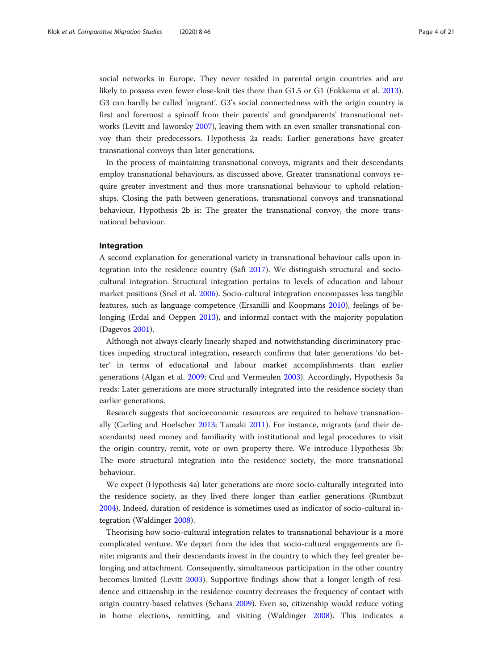social networks in Europe. They never resided in parental origin countries and are likely to possess even fewer close-knit ties there than G1.5 or G1 (Fokkema et al. [2013](#page-19-0)). G3 can hardly be called 'migrant'. G3's social connectedness with the origin country is first and foremost a spinoff from their parents' and grandparents' transnational networks (Levitt and Jaworsky [2007](#page-20-0)), leaving them with an even smaller transnational convoy than their predecessors. Hypothesis 2a reads: Earlier generations have greater transnational convoys than later generations.

In the process of maintaining transnational convoys, migrants and their descendants employ transnational behaviours, as discussed above. Greater transnational convoys require greater investment and thus more transnational behaviour to uphold relationships. Closing the path between generations, transnational convoys and transnational behaviour, Hypothesis 2b is: The greater the transnational convoy, the more transnational behaviour.

# Integration

A second explanation for generational variety in transnational behaviour calls upon integration into the residence country (Safi [2017\)](#page-20-0). We distinguish structural and sociocultural integration. Structural integration pertains to levels of education and labour market positions (Snel et al. [2006](#page-20-0)). Socio-cultural integration encompasses less tangible features, such as language competence (Ersanilli and Koopmans [2010](#page-19-0)), feelings of belonging (Erdal and Oeppen [2013\)](#page-19-0), and informal contact with the majority population (Dagevos [2001](#page-19-0)).

Although not always clearly linearly shaped and notwithstanding discriminatory practices impeding structural integration, research confirms that later generations 'do better' in terms of educational and labour market accomplishments than earlier generations (Algan et al. [2009;](#page-19-0) Crul and Vermeulen [2003\)](#page-19-0). Accordingly, Hypothesis 3a reads: Later generations are more structurally integrated into the residence society than earlier generations.

Research suggests that socioeconomic resources are required to behave transnationally (Carling and Hoelscher [2013;](#page-19-0) Tamaki [2011\)](#page-20-0). For instance, migrants (and their descendants) need money and familiarity with institutional and legal procedures to visit the origin country, remit, vote or own property there. We introduce Hypothesis 3b: The more structural integration into the residence society, the more transnational behaviour.

We expect (Hypothesis 4a) later generations are more socio-culturally integrated into the residence society, as they lived there longer than earlier generations (Rumbaut [2004](#page-20-0)). Indeed, duration of residence is sometimes used as indicator of socio-cultural integration (Waldinger [2008\)](#page-20-0).

Theorising how socio-cultural integration relates to transnational behaviour is a more complicated venture. We depart from the idea that socio-cultural engagements are finite; migrants and their descendants invest in the country to which they feel greater belonging and attachment. Consequently, simultaneous participation in the other country becomes limited (Levitt [2003\)](#page-20-0). Supportive findings show that a longer length of residence and citizenship in the residence country decreases the frequency of contact with origin country-based relatives (Schans [2009](#page-20-0)). Even so, citizenship would reduce voting in home elections, remitting, and visiting (Waldinger [2008\)](#page-20-0). This indicates a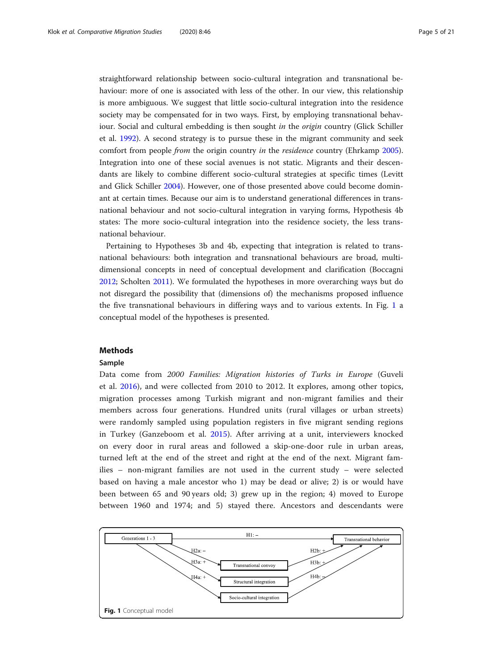straightforward relationship between socio-cultural integration and transnational behaviour: more of one is associated with less of the other. In our view, this relationship is more ambiguous. We suggest that little socio-cultural integration into the residence society may be compensated for in two ways. First, by employing transnational behaviour. Social and cultural embedding is then sought in the *origin* country (Glick Schiller et al. [1992](#page-19-0)). A second strategy is to pursue these in the migrant community and seek comfort from people from the origin country in the residence country (Ehrkamp [2005](#page-19-0)). Integration into one of these social avenues is not static. Migrants and their descendants are likely to combine different socio-cultural strategies at specific times (Levitt and Glick Schiller [2004\)](#page-20-0). However, one of those presented above could become dominant at certain times. Because our aim is to understand generational differences in transnational behaviour and not socio-cultural integration in varying forms, Hypothesis 4b states: The more socio-cultural integration into the residence society, the less transnational behaviour.

Pertaining to Hypotheses 3b and 4b, expecting that integration is related to transnational behaviours: both integration and transnational behaviours are broad, multidimensional concepts in need of conceptual development and clarification (Boccagni [2012](#page-19-0); Scholten [2011](#page-20-0)). We formulated the hypotheses in more overarching ways but do not disregard the possibility that (dimensions of) the mechanisms proposed influence the five transnational behaviours in differing ways and to various extents. In Fig. 1 a conceptual model of the hypotheses is presented.

# Methods

### Sample

Data come from 2000 Families: Migration histories of Turks in Europe (Guveli et al. [2016](#page-19-0)), and were collected from 2010 to 2012. It explores, among other topics, migration processes among Turkish migrant and non-migrant families and their members across four generations. Hundred units (rural villages or urban streets) were randomly sampled using population registers in five migrant sending regions in Turkey (Ganzeboom et al. [2015](#page-19-0)). After arriving at a unit, interviewers knocked on every door in rural areas and followed a skip-one-door rule in urban areas, turned left at the end of the street and right at the end of the next. Migrant families – non-migrant families are not used in the current study – were selected based on having a male ancestor who 1) may be dead or alive; 2) is or would have been between 65 and 90 years old; 3) grew up in the region; 4) moved to Europe between 1960 and 1974; and 5) stayed there. Ancestors and descendants were

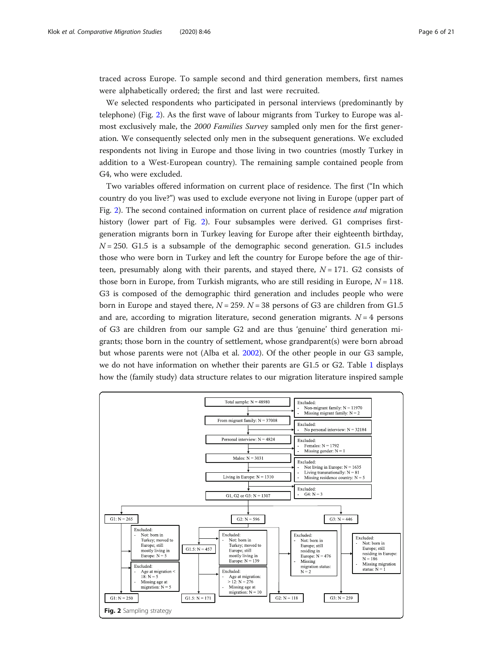traced across Europe. To sample second and third generation members, first names were alphabetically ordered; the first and last were recruited.

We selected respondents who participated in personal interviews (predominantly by telephone) (Fig. 2). As the first wave of labour migrants from Turkey to Europe was almost exclusively male, the 2000 Families Survey sampled only men for the first generation. We consequently selected only men in the subsequent generations. We excluded respondents not living in Europe and those living in two countries (mostly Turkey in addition to a West-European country). The remaining sample contained people from G4, who were excluded.

Two variables offered information on current place of residence. The first ("In which country do you live?") was used to exclude everyone not living in Europe (upper part of Fig. 2). The second contained information on current place of residence and migration history (lower part of Fig. 2). Four subsamples were derived. G1 comprises firstgeneration migrants born in Turkey leaving for Europe after their eighteenth birthday,  $N = 250$ . G1.5 is a subsample of the demographic second generation. G1.5 includes those who were born in Turkey and left the country for Europe before the age of thirteen, presumably along with their parents, and stayed there,  $N = 171$ . G2 consists of those born in Europe, from Turkish migrants, who are still residing in Europe,  $N = 118$ . G3 is composed of the demographic third generation and includes people who were born in Europe and stayed there,  $N = 259$ .  $N = 38$  persons of G3 are children from G1.5 and are, according to migration literature, second generation migrants.  $N = 4$  persons of G3 are children from our sample G2 and are thus 'genuine' third generation migrants; those born in the country of settlement, whose grandparent(s) were born abroad but whose parents were not (Alba et al. [2002\)](#page-19-0). Of the other people in our G3 sample, we do not have information on whether their parents are G1.5 or G2. Table [1](#page-6-0) displays how the (family study) data structure relates to our migration literature inspired sample

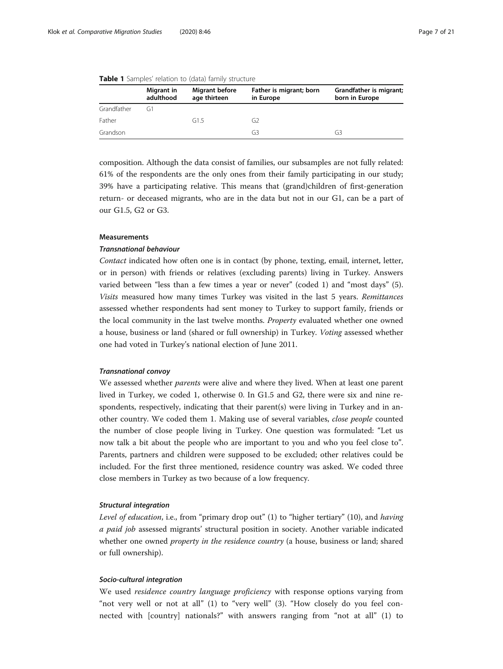|             | Migrant in<br>adulthood | Migrant before<br>age thirteen | Father is migrant; born<br>in Europe | Grandfather is migrant;<br>born in Europe |
|-------------|-------------------------|--------------------------------|--------------------------------------|-------------------------------------------|
| Grandfather | G1                      |                                |                                      |                                           |
| Father      |                         | G1.5                           | G2                                   |                                           |
| Grandson    |                         |                                | G3                                   | G3                                        |

<span id="page-6-0"></span>

|  |  | Table 1 Samples' relation to (data) family structure |  |  |  |
|--|--|------------------------------------------------------|--|--|--|
|--|--|------------------------------------------------------|--|--|--|

composition. Although the data consist of families, our subsamples are not fully related: 61% of the respondents are the only ones from their family participating in our study; 39% have a participating relative. This means that (grand)children of first-generation return- or deceased migrants, who are in the data but not in our G1, can be a part of our G1.5, G2 or G3.

# Measurements

# **Transnational behaviour**

Contact indicated how often one is in contact (by phone, texting, email, internet, letter, or in person) with friends or relatives (excluding parents) living in Turkey. Answers varied between "less than a few times a year or never" (coded 1) and "most days" (5). Visits measured how many times Turkey was visited in the last 5 years. Remittances assessed whether respondents had sent money to Turkey to support family, friends or the local community in the last twelve months. Property evaluated whether one owned a house, business or land (shared or full ownership) in Turkey. Voting assessed whether one had voted in Turkey's national election of June 2011.

We assessed whether *parents* were alive and where they lived. When at least one parent lived in Turkey, we coded 1, otherwise 0. In G1.5 and G2, there were six and nine respondents, respectively, indicating that their parent(s) were living in Turkey and in another country. We coded them 1. Making use of several variables, close people counted the number of close people living in Turkey. One question was formulated: "Let us now talk a bit about the people who are important to you and who you feel close to". Parents, partners and children were supposed to be excluded; other relatives could be included. For the first three mentioned, residence country was asked. We coded three close members in Turkey as two because of a low frequency.

Level of education, i.e., from "primary drop out" (1) to "higher tertiary" (10), and having a paid job assessed migrants' structural position in society. Another variable indicated whether one owned *property in the residence country* (a house, business or land; shared or full ownership).

We used residence country language proficiency with response options varying from "not very well or not at all" (1) to "very well" (3). "How closely do you feel connected with [country] nationals?" with answers ranging from "not at all" (1) to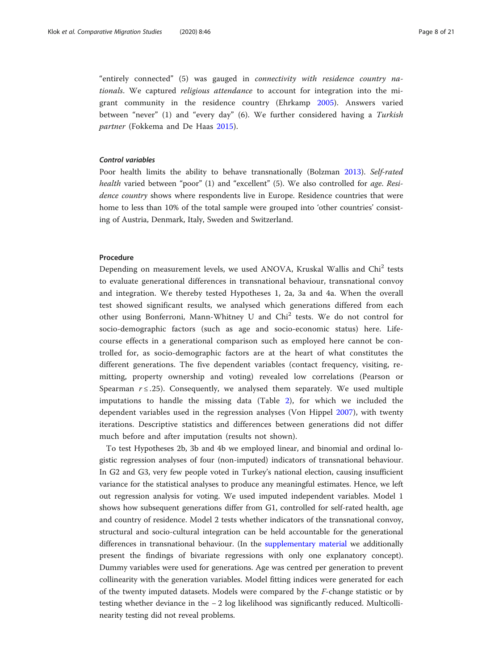"entirely connected" (5) was gauged in connectivity with residence country nationals. We captured religious attendance to account for integration into the migrant community in the residence country (Ehrkamp [2005\)](#page-19-0). Answers varied between "never" (1) and "every day" (6). We further considered having a Turkish partner (Fokkema and De Haas [2015\)](#page-19-0).

# **Control variables**

Poor health limits the ability to behave transnationally (Bolzman [2013\)](#page-19-0). Self-rated health varied between "poor" (1) and "excellent" (5). We also controlled for age. Residence country shows where respondents live in Europe. Residence countries that were home to less than 10% of the total sample were grouped into 'other countries' consisting of Austria, Denmark, Italy, Sweden and Switzerland.

# Procedure

Depending on measurement levels, we used ANOVA, Kruskal Wallis and Chi<sup>2</sup> tests to evaluate generational differences in transnational behaviour, transnational convoy and integration. We thereby tested Hypotheses 1, 2a, 3a and 4a. When the overall test showed significant results, we analysed which generations differed from each other using Bonferroni, Mann-Whitney U and Chi<sup>2</sup> tests. We do not control for socio-demographic factors (such as age and socio-economic status) here. Lifecourse effects in a generational comparison such as employed here cannot be controlled for, as socio-demographic factors are at the heart of what constitutes the different generations. The five dependent variables (contact frequency, visiting, remitting, property ownership and voting) revealed low correlations (Pearson or Spearman  $r \le 0.25$ ). Consequently, we analysed them separately. We used multiple imputations to handle the missing data (Table [2\)](#page-8-0), for which we included the dependent variables used in the regression analyses (Von Hippel [2007](#page-20-0)), with twenty iterations. Descriptive statistics and differences between generations did not differ much before and after imputation (results not shown).

To test Hypotheses 2b, 3b and 4b we employed linear, and binomial and ordinal logistic regression analyses of four (non-imputed) indicators of transnational behaviour. In G2 and G3, very few people voted in Turkey's national election, causing insufficient variance for the statistical analyses to produce any meaningful estimates. Hence, we left out regression analysis for voting. We used imputed independent variables. Model 1 shows how subsequent generations differ from G1, controlled for self-rated health, age and country of residence. Model 2 tests whether indicators of the transnational convoy, structural and socio-cultural integration can be held accountable for the generational differences in transnational behaviour. (In the [supplementary material](#page-18-0) we additionally present the findings of bivariate regressions with only one explanatory concept). Dummy variables were used for generations. Age was centred per generation to prevent collinearity with the generation variables. Model fitting indices were generated for each of the twenty imputed datasets. Models were compared by the F-change statistic or by testing whether deviance in the − 2 log likelihood was significantly reduced. Multicollinearity testing did not reveal problems.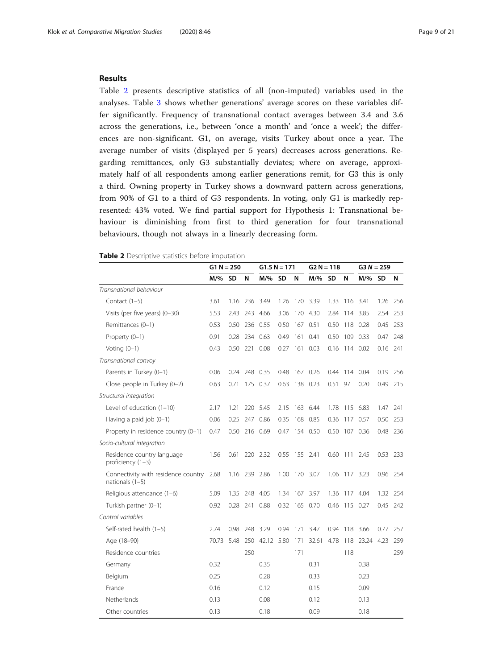# <span id="page-8-0"></span>Results

Table 2 presents descriptive statistics of all (non-imputed) variables used in the analyses. Table [3](#page-9-0) shows whether generations' average scores on these variables differ significantly. Frequency of transnational contact averages between 3.4 and 3.6 across the generations, i.e., between 'once a month' and 'once a week'; the differences are non-significant. G1, on average, visits Turkey about once a year. The average number of visits (displayed per 5 years) decreases across generations. Regarding remittances, only G3 substantially deviates; where on average, approximately half of all respondents among earlier generations remit, for G3 this is only a third. Owning property in Turkey shows a downward pattern across generations, from 90% of G1 to a third of G3 respondents. In voting, only G1 is markedly represented: 43% voted. We find partial support for Hypothesis 1: Transnational behaviour is diminishing from first to third generation for four transnational behaviours, though not always in a linearly decreasing form.

|                                                          | $G1 N = 250$ |      |               |            | $G1.5 N = 171$ |               | $G2 N = 118$ |           |               | $G3 N = 259$ |           |          |
|----------------------------------------------------------|--------------|------|---------------|------------|----------------|---------------|--------------|-----------|---------------|--------------|-----------|----------|
|                                                          | M/% SD       |      | N             | M/% SD     |                | N             | $M/\%$       | <b>SD</b> | N             | $M/\%$       | <b>SD</b> | N        |
| Transnational behaviour                                  |              |      |               |            |                |               |              |           |               |              |           |          |
| Contact $(1-5)$                                          | 3.61         | 1.16 | 236           | 3.49       | 1.26           | 170           | 3.39         | 1.33      | 116           | 3.41         | 1.26      | 256      |
| Visits (per five years) (0-30)                           | 5.53         | 2.43 |               | 243 4.66   | 3.06           |               | 170 4.30     | 2.84      |               | 114 3.85     | 2.54      | 253      |
| Remittances (0-1)                                        | 0.53         | 0.50 |               | 236 0.55   | 0.50           | 167 0.51      |              | 0.50      |               | 118 0.28     | 0.45      | 253      |
| Property (0-1)                                           | 0.91         | 0.28 |               | 234 0.63   | 0.49           | 161 0.41      |              | 0.50      | 109 0.33      |              |           | 0.47 248 |
| Voting $(0-1)$                                           | 0.43         | 0.50 | 221           | 0.08       | 0.27           | 161           | 0.03         | 0.16      | 114 0.02      |              | 0.16      | 241      |
| Transnational convoy                                     |              |      |               |            |                |               |              |           |               |              |           |          |
| Parents in Turkey (0-1)                                  | 0.06         | 0.24 | 248           | 0.35       | 0.48           |               | 167 0.26     | 0.44      | 114           | 0.04         | 0.19      | -256     |
| Close people in Turkey (0-2)                             | 0.63         | 0.71 |               | 175 0.37   | 0.63           | 138 0.23      |              | 0.51 97   |               | 0.20         |           | 0.49 215 |
| Structural integration                                   |              |      |               |            |                |               |              |           |               |              |           |          |
| Level of education (1-10)                                | 2.17         | 1.21 |               | 220 5.45   | 2.15           |               | 163 6.44     | 1.78      | 115 6.83      |              | 1.47      | 241      |
| Having a paid job $(0-1)$                                | 0.06         | 0.25 |               | 247 0.86   | 0.35           | 168           | 0.85         | 0.36      | 117           | 0.57         | 0.50      | 253      |
| Property in residence country (0-1)                      | 0.47         |      | 0.50 216 0.69 |            |                | 0.47 154 0.50 |              |           | 0.50 107 0.36 |              |           | 0.48 236 |
| Socio-cultural integration                               |              |      |               |            |                |               |              |           |               |              |           |          |
| Residence country language<br>proficiency (1-3)          | 1.56         | 0.61 |               | 220 2.32   | 0.55           | 155 2.41      |              | 0.60      | 111 2.45      |              | 0.53 233  |          |
| Connectivity with residence country<br>nationals $(1-5)$ | 2.68         | 1.16 | 239           | 2.86       | 1.00           |               | 170 3.07     | 1.06      | 117 3.23      |              | 0.96 254  |          |
| Religious attendance (1-6)                               | 5.09         | 1.35 | 248           | 4.05       | 1.34           | 167           | 3.97         | 1.36      | 117           | 4.04         | 1.32      | 254      |
| Turkish partner (0-1)                                    | 0.92         | 0.28 | 241           | 0.88       | 0.32           |               | 165 0.70     | 0.46      | 115 0.27      |              | 0.45      | 242      |
| Control variables                                        |              |      |               |            |                |               |              |           |               |              |           |          |
| Self-rated health (1-5)                                  | 2.74         | 0.98 | 248           | 3.29       | 0.94           | 171           | 3.47         | 0.94      | 118           | 3.66         | 0.77      | 257      |
| Age (18-90)                                              | 70.73        | 5.48 | 250           | 42.12 5.80 |                | 171           | 32.61        | 4.78      | 118           | 23.24 4.23   |           | 259      |
| Residence countries                                      |              |      | 250           |            |                | 171           |              |           | 118           |              |           | 259      |
| Germany                                                  | 0.32         |      |               | 0.35       |                |               | 0.31         |           |               | 0.38         |           |          |
| Belgium                                                  | 0.25         |      |               | 0.28       |                |               | 0.33         |           |               | 0.23         |           |          |
| France                                                   | 0.16         |      |               | 0.12       |                |               | 0.15         |           |               | 0.09         |           |          |
| Netherlands                                              | 0.13         |      |               | 0.08       |                |               | 0.12         |           |               | 0.13         |           |          |
| Other countries                                          | 0.13         |      |               | 0.18       |                |               | 0.09         |           |               | 0.18         |           |          |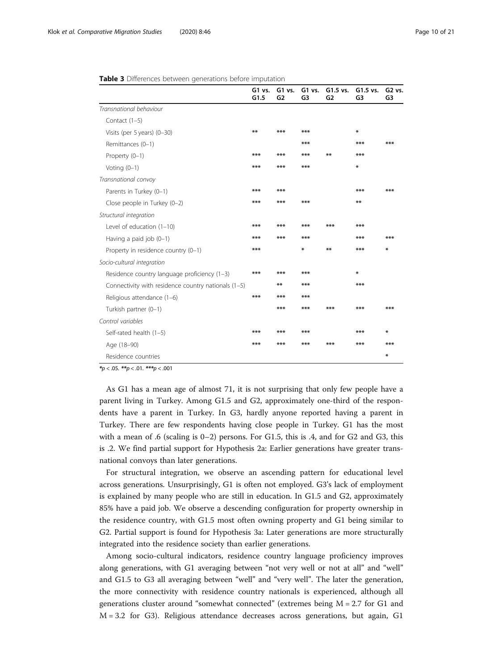<span id="page-9-0"></span>

| Table 3 Differences between generations before imputation |  |  |  |
|-----------------------------------------------------------|--|--|--|
|-----------------------------------------------------------|--|--|--|

|                                                     | G1 vs.<br>G1.5 | G1 vs.<br>G2 | G1 vs.<br>G <sub>3</sub> | $G1.5$ vs.<br>G <sub>2</sub> | G1.5 vs.<br>G <sub>3</sub> | G <sub>2</sub> vs.<br>G <sub>3</sub> |
|-----------------------------------------------------|----------------|--------------|--------------------------|------------------------------|----------------------------|--------------------------------------|
| Transnational behaviour                             |                |              |                          |                              |                            |                                      |
| Contact $(1-5)$                                     |                |              |                          |                              |                            |                                      |
| Visits (per 5 years) (0-30)                         | $***$          | $***$        | $***$                    |                              | ∗                          |                                      |
| Remittances (0-1)                                   |                |              | $***$                    |                              | ***                        | ***                                  |
| Property (0-1)                                      | $***$          | $***$        | $***$                    | $**$                         | ***                        |                                      |
| Voting $(0-1)$                                      | $***$          | $***$        | $***$                    |                              | ⋇                          |                                      |
| Transnational convoy                                |                |              |                          |                              |                            |                                      |
| Parents in Turkey (0-1)                             | $***$          | $***$        |                          |                              | ***                        | ***                                  |
| Close people in Turkey (0-2)                        | $***$          | $***$        | $***$                    |                              | $***$                      |                                      |
| Structural integration                              |                |              |                          |                              |                            |                                      |
| Level of education $(1-10)$                         | $***$          | $***$        | $***$                    | $***$                        | $***$                      |                                      |
| Having a paid job $(0-1)$                           | $***$          | $***$        | $***$                    |                              | ***                        | ***                                  |
| Property in residence country (0-1)                 | $***$          |              | ∗                        | $**$                         | ***                        | ∗                                    |
| Socio-cultural integration                          |                |              |                          |                              |                            |                                      |
| Residence country language proficiency (1-3)        | $***$          | $***$        | $***$                    |                              | ∗                          |                                      |
| Connectivity with residence country nationals (1-5) |                | $**$         | $***$                    |                              | ***                        |                                      |
| Religious attendance (1-6)                          | $***$          | $***$        | $***$                    |                              |                            |                                      |
| Turkish partner (0-1)                               |                | $***$        | $***$                    | $***$                        | ***                        | ***                                  |
| Control variables                                   |                |              |                          |                              |                            |                                      |
| Self-rated health (1-5)                             | $***$          | $***$        | $***$                    |                              | ***                        | ∗                                    |
| Age (18-90)                                         | $***$          | $***$        | $***$                    | $***$                        | ***                        | ***                                  |
| Residence countries                                 |                |              |                          |                              |                            | ∗                                    |

 $**p* < .05.$   $***p* < .01.$   $***p* < .001$ 

As G1 has a mean age of almost 71, it is not surprising that only few people have a parent living in Turkey. Among G1.5 and G2, approximately one-third of the respondents have a parent in Turkey. In G3, hardly anyone reported having a parent in Turkey. There are few respondents having close people in Turkey. G1 has the most with a mean of .6 (scaling is  $0-2$ ) persons. For G1.5, this is .4, and for G2 and G3, this is .2. We find partial support for Hypothesis 2a: Earlier generations have greater transnational convoys than later generations.

For structural integration, we observe an ascending pattern for educational level across generations. Unsurprisingly, G1 is often not employed. G3's lack of employment is explained by many people who are still in education. In G1.5 and G2, approximately 85% have a paid job. We observe a descending configuration for property ownership in the residence country, with G1.5 most often owning property and G1 being similar to G2. Partial support is found for Hypothesis 3a: Later generations are more structurally integrated into the residence society than earlier generations.

Among socio-cultural indicators, residence country language proficiency improves along generations, with G1 averaging between "not very well or not at all" and "well" and G1.5 to G3 all averaging between "well" and "very well". The later the generation, the more connectivity with residence country nationals is experienced, although all generations cluster around "somewhat connected" (extremes being  $M = 2.7$  for G1 and  $M = 3.2$  for G3). Religious attendance decreases across generations, but again, G1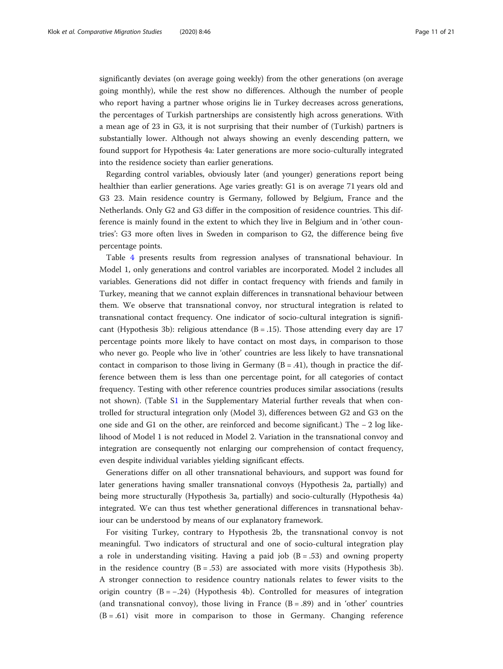significantly deviates (on average going weekly) from the other generations (on average going monthly), while the rest show no differences. Although the number of people who report having a partner whose origins lie in Turkey decreases across generations, the percentages of Turkish partnerships are consistently high across generations. With a mean age of 23 in G3, it is not surprising that their number of (Turkish) partners is substantially lower. Although not always showing an evenly descending pattern, we found support for Hypothesis 4a: Later generations are more socio-culturally integrated into the residence society than earlier generations.

Regarding control variables, obviously later (and younger) generations report being healthier than earlier generations. Age varies greatly: G1 is on average 71 years old and G3 23. Main residence country is Germany, followed by Belgium, France and the Netherlands. Only G2 and G3 differ in the composition of residence countries. This difference is mainly found in the extent to which they live in Belgium and in 'other countries': G3 more often lives in Sweden in comparison to G2, the difference being five percentage points.

Table [4](#page-11-0) presents results from regression analyses of transnational behaviour. In Model 1, only generations and control variables are incorporated. Model 2 includes all variables. Generations did not differ in contact frequency with friends and family in Turkey, meaning that we cannot explain differences in transnational behaviour between them. We observe that transnational convoy, nor structural integration is related to transnational contact frequency. One indicator of socio-cultural integration is significant (Hypothesis 3b): religious attendance  $(B = .15)$ . Those attending every day are 17 percentage points more likely to have contact on most days, in comparison to those who never go. People who live in 'other' countries are less likely to have transnational contact in comparison to those living in Germany  $(B = .41)$ , though in practice the difference between them is less than one percentage point, for all categories of contact frequency. Testing with other reference countries produces similar associations (results not shown). (Table S[1](#page-18-0) in the Supplementary Material further reveals that when controlled for structural integration only (Model 3), differences between G2 and G3 on the one side and G1 on the other, are reinforced and become significant.) The − 2 log likelihood of Model 1 is not reduced in Model 2. Variation in the transnational convoy and integration are consequently not enlarging our comprehension of contact frequency, even despite individual variables yielding significant effects.

Generations differ on all other transnational behaviours, and support was found for later generations having smaller transnational convoys (Hypothesis 2a, partially) and being more structurally (Hypothesis 3a, partially) and socio-culturally (Hypothesis 4a) integrated. We can thus test whether generational differences in transnational behaviour can be understood by means of our explanatory framework.

For visiting Turkey, contrary to Hypothesis 2b, the transnational convoy is not meaningful. Two indicators of structural and one of socio-cultural integration play a role in understanding visiting. Having a paid job  $(B = .53)$  and owning property in the residence country  $(B = .53)$  are associated with more visits (Hypothesis 3b). A stronger connection to residence country nationals relates to fewer visits to the origin country  $(B = -0.24)$  (Hypothesis 4b). Controlled for measures of integration (and transnational convoy), those living in France  $(B = .89)$  and in 'other' countries (B = .61) visit more in comparison to those in Germany. Changing reference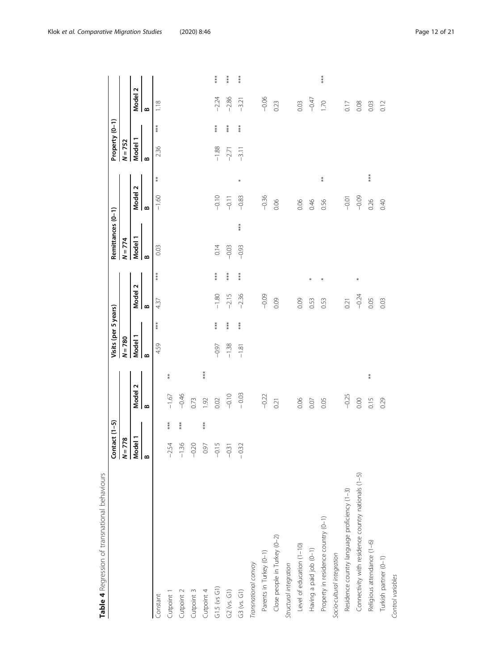<span id="page-11-0"></span>

| - CONSIGNMENT CONSIGNMENT OF TOWN IN THE INTERNATIONAL |                                                 |     |                |     |              | Visits (per 5 years) |                       |        |              | Remittances (0-1) |                               |            | Property (0-1)        |       |              |                      |
|--------------------------------------------------------|-------------------------------------------------|-----|----------------|-----|--------------|----------------------|-----------------------|--------|--------------|-------------------|-------------------------------|------------|-----------------------|-------|--------------|----------------------|
|                                                        | $Contact (1-5)$                                 |     |                |     | $N = 780$    |                      |                       |        | $N = 774$    |                   |                               |            | $N = 752$             |       |              |                      |
|                                                        | $\frac{N=778}{\frac{\text{Model 1}}{\text{B}}}$ |     | Model 2        |     | Model 1      |                      | <b>Model</b>          | Z      | Model        |                   | $\mathbf{\tilde{c}}$<br>Model |            | Model                 |       | Model:       | $\mathbf{\tilde{c}}$ |
|                                                        |                                                 |     | $\mathbf{a}$   |     | $\mathbf{a}$ |                      | $\boldsymbol{\omega}$ |        | $\mathbf{a}$ |                   | $\mathbf{a}$                  |            | $\boldsymbol{\omega}$ |       | $\mathbf{a}$ |                      |
| Constant                                               |                                                 |     |                |     | 4.59         | ***                  | 437                   | ***    | 0.03         |                   | $-1.60$                       | $\ast$     | 2.36                  | ***   | 1.18         |                      |
| Cutpoint 1                                             | 54<br>$\gamma$                                  | *** | $-1.67$        | ∗   |              |                      |                       |        |              |                   |                               |            |                       |       |              |                      |
| Cutpoint 2                                             | 36<br>ī                                         | *** | $-0.46$        |     |              |                      |                       |        |              |                   |                               |            |                       |       |              |                      |
| Cutpoint 3                                             | $-0.20$                                         |     | 0.73           |     |              |                      |                       |        |              |                   |                               |            |                       |       |              |                      |
| Cutpoint 4                                             | 0.97                                            | *** | $\overline{6}$ | *** |              |                      |                       |        |              |                   |                               |            |                       |       |              |                      |
| $G1.5$ (vs $G1$ )                                      | $-0.15$                                         |     | 0.02           |     | $-0.97$      | $***$                | $-1.80$               | $***$  | 0.14         |                   | $-0.10$                       |            | $-1.88$               | ***   | $-2.24$      | $***$                |
| $G2$ (vs. $G1)$                                        | $-0.31$                                         |     | $-0.10$        |     | $-1.38$      | $***$                | $-2.15$               | $***$  | $-0.03$      |                   | $-9.11$                       |            | $-2.71$               | $***$ | $-2.86$      | ***                  |
| G3 (vs. G1)                                            | $-0.32$                                         |     | $-0.03$        |     | $-1.81$      | ***                  | $-2.36$               | ***    | $-0.93$      | $***$             | $-0.83$                       | *          | $-3.11$               | ***   | $-3.21$      | $***$                |
| Transnational convoy                                   |                                                 |     |                |     |              |                      |                       |        |              |                   |                               |            |                       |       |              |                      |
| Parents in Turkey (0-1)                                |                                                 |     | $-0.22$        |     |              |                      | $-0.09$               |        |              |                   | $-0.36$                       |            |                       |       | $-0.06$      |                      |
| Close people in Turkey (0-2)                           |                                                 |     | 0.21           |     |              |                      | 0.09                  |        |              |                   | 0.06                          |            |                       |       | 0.23         |                      |
| Structural integration                                 |                                                 |     |                |     |              |                      |                       |        |              |                   |                               |            |                       |       |              |                      |
| Level of education (1-10)                              |                                                 |     | 0.06           |     |              |                      | 0.09                  |        |              |                   | 0.06                          |            |                       |       | 0.03         |                      |
| Having a paid job (0-1)                                |                                                 |     | 0.07           |     |              |                      | 0.53                  | $\ast$ |              |                   | 0.46                          |            |                       |       | $-0.47$      |                      |
| Property in residence country (0-1)                    |                                                 |     | 0.05           |     |              |                      | 0.53                  | *      |              |                   | 0.56                          | $\ddot{*}$ |                       |       | 1.70         | ***                  |
| Socio-cultural integration                             |                                                 |     |                |     |              |                      |                       |        |              |                   |                               |            |                       |       |              |                      |
| Residence country language proficiency (1-3)           |                                                 |     | $-0.25$        |     |              |                      | 0.21                  |        |              |                   | $-0.01$                       |            |                       |       | 0.17         |                      |
| Connectivity with residence country nationals (1-5)    |                                                 |     | 0.00           |     |              |                      | $-0.24$               | *      |              |                   | $-0.09$                       |            |                       |       | 0.08         |                      |
| Religious attendance (1-6)                             |                                                 |     | 0.15           | $*$ |              |                      | 0.05                  |        |              |                   | 0.26                          | $***$      |                       |       | 0.03         |                      |
| Turkish partner (0-1)                                  |                                                 |     | 0.29           |     |              |                      | 0.03                  |        |              |                   | 0.40                          |            |                       |       | 0.12         |                      |
| Control variables                                      |                                                 |     |                |     |              |                      |                       |        |              |                   |                               |            |                       |       |              |                      |

Table 4 Regression of transnational behaviours **Table 4** Regression of transnational behaviours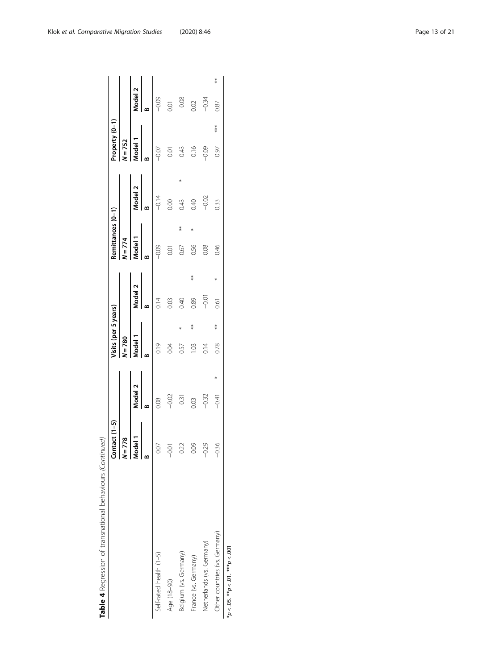|                                               | Contact $(1-5)$                            |         | lisits (per 5 years) |    |         |            | Remittances (0-1) |         | roperty (0-1) |     |         |       |
|-----------------------------------------------|--------------------------------------------|---------|----------------------|----|---------|------------|-------------------|---------|---------------|-----|---------|-------|
|                                               | 778<br>$\vert \frac{1}{2}$                 |         | $N = 780$            |    |         |            | $N = 774$         |         | $N = 752$     |     |         |       |
|                                               | .<br>मु<br>$\overline{\phantom{a}}$<br>ક્ર | Model 2 | Model 1              |    | Model 2 |            | Model 1           | Model 2 | Aodel 1       |     | Model 2 |       |
|                                               | ≃                                          |         |                      |    |         |            |                   |         |               |     |         |       |
| Self-rated health (1-5)                       | 0.07                                       | 0.08    | 0.19                 |    | 0.14    |            | $-0.09$           | $-0.14$ | $-0.07$       |     | $-0.09$ |       |
| Age (18-90)                                   | $-0.01$                                    | $-0.02$ | 0.04                 |    | 0.03    |            | 0.01              | 0.00    | 0.01          |     | 0.01    |       |
| Belgium (vs. Germany)                         | q                                          | $-0.31$ | 0.57                 |    | 0.40    |            | 0.67              | 0.43    | 0.43          |     | $-0.08$ |       |
| France (vs. Germany)                          |                                            | 0.03    | $\frac{10}{2}$       | ≸  | 0.89    | $\ddot{*}$ | 0.56              | 0.40    | 0.16          |     | 0.02    |       |
| Netherlands (vs. Germany)                     | q                                          | $-0.32$ | $\frac{4}{5}$        |    | $-0.01$ |            | 0.08              | $-0.02$ | $-0.09$       |     | $-0.34$ |       |
| Other countries (vs. Germany)                 |                                            | $-0.41$ | 0.78                 | ** | 0.61    |            | 0.46              | 0.33    | 0.97          | *** | 0.87    | $* *$ |
| <b>PUU / wikikiki PU / wikiki JU / wikiki</b> |                                            |         |                      |    |         |            |                   |         |               |     |         |       |

Table 4 Regression of transnational behaviours (Continued) **Table 4** Regression of transnational behaviours (Continued)

 $100 > d_{\ast}$  $*p < 0.05$ .  $*p < 0.1$ .  $*^{**}p < 0.01$  $_{**}$  10. >  $d_*$ \* $p < 0.95$ .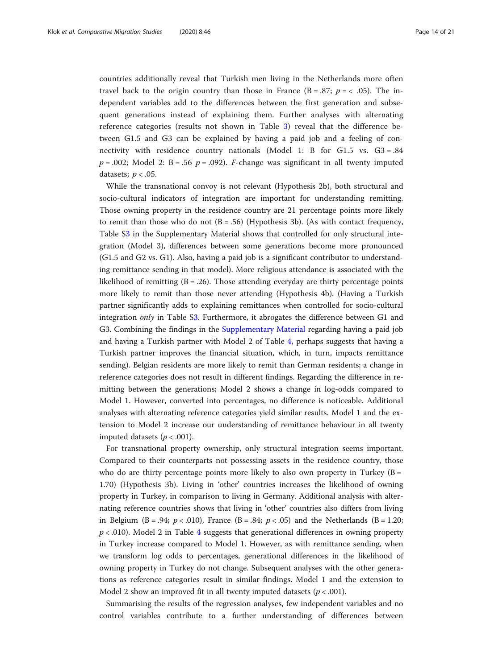countries additionally reveal that Turkish men living in the Netherlands more often travel back to the origin country than those in France  $(B = .87; p = < .05)$ . The independent variables add to the differences between the first generation and subsequent generations instead of explaining them. Further analyses with alternating reference categories (results not shown in Table [3\)](#page-9-0) reveal that the difference between G1.5 and G3 can be explained by having a paid job and a feeling of connectivity with residence country nationals (Model 1: B for G1.5 vs. G3 = .84  $p = .002$ ; Model 2: B = .56  $p = .092$ ). *F*-change was significant in all twenty imputed datasets;  $p < .05$ .

While the transnational convoy is not relevant (Hypothesis 2b), both structural and socio-cultural indicators of integration are important for understanding remitting. Those owning property in the residence country are 21 percentage points more likely to remit than those who do not  $(B = .56)$  (Hypothesis 3b). (As with contact frequency, Table S[3](#page-18-0) in the Supplementary Material shows that controlled for only structural integration (Model 3), differences between some generations become more pronounced (G1.5 and G2 vs. G1). Also, having a paid job is a significant contributor to understanding remittance sending in that model). More religious attendance is associated with the likelihood of remitting  $(B = .26)$ . Those attending everyday are thirty percentage points more likely to remit than those never attending (Hypothesis 4b). (Having a Turkish partner significantly adds to explaining remittances when controlled for socio-cultural integration only in Table [S3](#page-18-0). Furthermore, it abrogates the difference between G1 and G3. Combining the findings in the [Supplementary Material](#page-18-0) regarding having a paid job and having a Turkish partner with Model 2 of Table [4](#page-11-0), perhaps suggests that having a Turkish partner improves the financial situation, which, in turn, impacts remittance sending). Belgian residents are more likely to remit than German residents; a change in reference categories does not result in different findings. Regarding the difference in remitting between the generations; Model 2 shows a change in log-odds compared to Model 1. However, converted into percentages, no difference is noticeable. Additional analyses with alternating reference categories yield similar results. Model 1 and the extension to Model 2 increase our understanding of remittance behaviour in all twenty imputed datasets ( $p < .001$ ).

For transnational property ownership, only structural integration seems important. Compared to their counterparts not possessing assets in the residence country, those who do are thirty percentage points more likely to also own property in Turkey  $(B =$ 1.70) (Hypothesis 3b). Living in 'other' countries increases the likelihood of owning property in Turkey, in comparison to living in Germany. Additional analysis with alternating reference countries shows that living in 'other' countries also differs from living in Belgium (B = .94;  $p < .010$ ), France (B = .84;  $p < .05$ ) and the Netherlands (B = 1.20;  $p < .010$ ). Model 2 in Table [4](#page-11-0) suggests that generational differences in owning property in Turkey increase compared to Model 1. However, as with remittance sending, when we transform log odds to percentages, generational differences in the likelihood of owning property in Turkey do not change. Subsequent analyses with the other generations as reference categories result in similar findings. Model 1 and the extension to Model 2 show an improved fit in all twenty imputed datasets ( $p < .001$ ).

Summarising the results of the regression analyses, few independent variables and no control variables contribute to a further understanding of differences between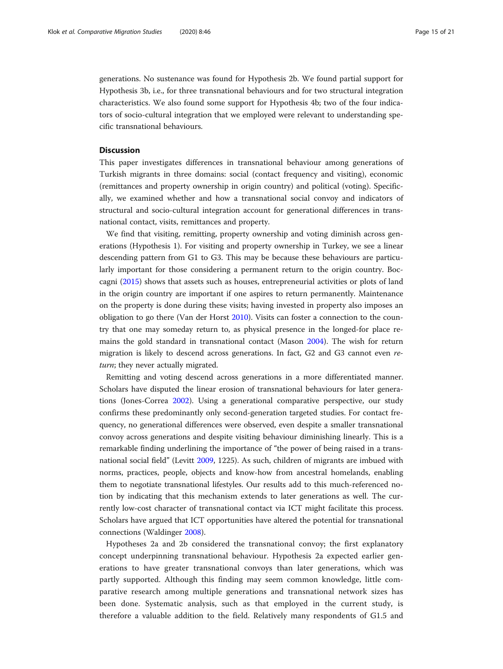generations. No sustenance was found for Hypothesis 2b. We found partial support for Hypothesis 3b, i.e., for three transnational behaviours and for two structural integration characteristics. We also found some support for Hypothesis 4b; two of the four indicators of socio-cultural integration that we employed were relevant to understanding specific transnational behaviours.

# Discussion

This paper investigates differences in transnational behaviour among generations of Turkish migrants in three domains: social (contact frequency and visiting), economic (remittances and property ownership in origin country) and political (voting). Specifically, we examined whether and how a transnational social convoy and indicators of structural and socio-cultural integration account for generational differences in transnational contact, visits, remittances and property.

We find that visiting, remitting, property ownership and voting diminish across generations (Hypothesis 1). For visiting and property ownership in Turkey, we see a linear descending pattern from G1 to G3. This may be because these behaviours are particularly important for those considering a permanent return to the origin country. Boccagni [\(2015\)](#page-19-0) shows that assets such as houses, entrepreneurial activities or plots of land in the origin country are important if one aspires to return permanently. Maintenance on the property is done during these visits; having invested in property also imposes an obligation to go there (Van der Horst [2010](#page-20-0)). Visits can foster a connection to the country that one may someday return to, as physical presence in the longed-for place remains the gold standard in transnational contact (Mason [2004](#page-20-0)). The wish for return migration is likely to descend across generations. In fact, G2 and G3 cannot even return; they never actually migrated.

Remitting and voting descend across generations in a more differentiated manner. Scholars have disputed the linear erosion of transnational behaviours for later generations (Jones-Correa [2002](#page-20-0)). Using a generational comparative perspective, our study confirms these predominantly only second-generation targeted studies. For contact frequency, no generational differences were observed, even despite a smaller transnational convoy across generations and despite visiting behaviour diminishing linearly. This is a remarkable finding underlining the importance of "the power of being raised in a transnational social field" (Levitt [2009,](#page-20-0) 1225). As such, children of migrants are imbued with norms, practices, people, objects and know-how from ancestral homelands, enabling them to negotiate transnational lifestyles. Our results add to this much-referenced notion by indicating that this mechanism extends to later generations as well. The currently low-cost character of transnational contact via ICT might facilitate this process. Scholars have argued that ICT opportunities have altered the potential for transnational connections (Waldinger [2008](#page-20-0)).

Hypotheses 2a and 2b considered the transnational convoy; the first explanatory concept underpinning transnational behaviour. Hypothesis 2a expected earlier generations to have greater transnational convoys than later generations, which was partly supported. Although this finding may seem common knowledge, little comparative research among multiple generations and transnational network sizes has been done. Systematic analysis, such as that employed in the current study, is therefore a valuable addition to the field. Relatively many respondents of G1.5 and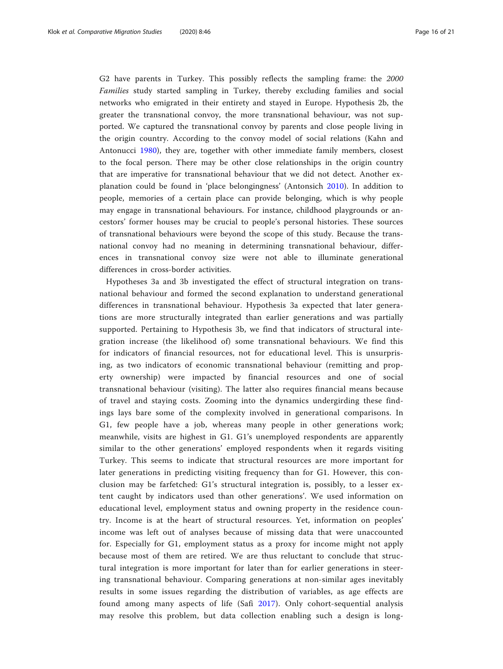G2 have parents in Turkey. This possibly reflects the sampling frame: the 2000 Families study started sampling in Turkey, thereby excluding families and social networks who emigrated in their entirety and stayed in Europe. Hypothesis 2b, the greater the transnational convoy, the more transnational behaviour, was not supported. We captured the transnational convoy by parents and close people living in the origin country. According to the convoy model of social relations (Kahn and Antonucci [1980\)](#page-20-0), they are, together with other immediate family members, closest to the focal person. There may be other close relationships in the origin country that are imperative for transnational behaviour that we did not detect. Another explanation could be found in 'place belongingness' (Antonsich [2010](#page-19-0)). In addition to people, memories of a certain place can provide belonging, which is why people may engage in transnational behaviours. For instance, childhood playgrounds or ancestors' former houses may be crucial to people's personal histories. These sources of transnational behaviours were beyond the scope of this study. Because the transnational convoy had no meaning in determining transnational behaviour, differences in transnational convoy size were not able to illuminate generational differences in cross-border activities.

Hypotheses 3a and 3b investigated the effect of structural integration on transnational behaviour and formed the second explanation to understand generational differences in transnational behaviour. Hypothesis 3a expected that later generations are more structurally integrated than earlier generations and was partially supported. Pertaining to Hypothesis 3b, we find that indicators of structural integration increase (the likelihood of) some transnational behaviours. We find this for indicators of financial resources, not for educational level. This is unsurprising, as two indicators of economic transnational behaviour (remitting and property ownership) were impacted by financial resources and one of social transnational behaviour (visiting). The latter also requires financial means because of travel and staying costs. Zooming into the dynamics undergirding these findings lays bare some of the complexity involved in generational comparisons. In G1, few people have a job, whereas many people in other generations work; meanwhile, visits are highest in G1. G1's unemployed respondents are apparently similar to the other generations' employed respondents when it regards visiting Turkey. This seems to indicate that structural resources are more important for later generations in predicting visiting frequency than for G1. However, this conclusion may be farfetched: G1's structural integration is, possibly, to a lesser extent caught by indicators used than other generations'. We used information on educational level, employment status and owning property in the residence country. Income is at the heart of structural resources. Yet, information on peoples' income was left out of analyses because of missing data that were unaccounted for. Especially for G1, employment status as a proxy for income might not apply because most of them are retired. We are thus reluctant to conclude that structural integration is more important for later than for earlier generations in steering transnational behaviour. Comparing generations at non-similar ages inevitably results in some issues regarding the distribution of variables, as age effects are found among many aspects of life (Safi [2017](#page-20-0)). Only cohort-sequential analysis may resolve this problem, but data collection enabling such a design is long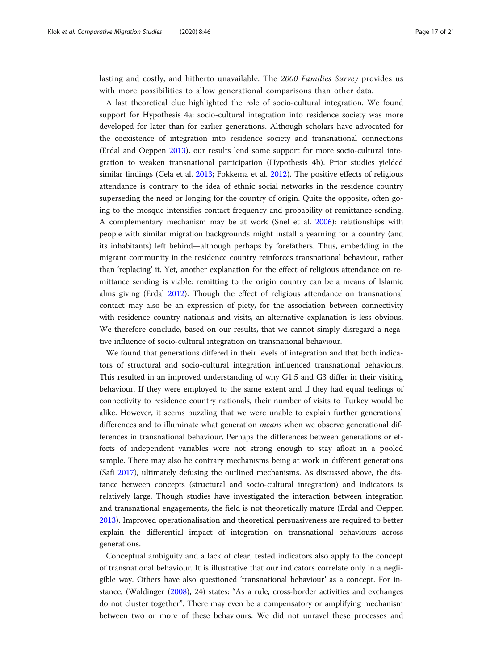lasting and costly, and hitherto unavailable. The 2000 Families Survey provides us with more possibilities to allow generational comparisons than other data.

A last theoretical clue highlighted the role of socio-cultural integration. We found support for Hypothesis 4a: socio-cultural integration into residence society was more developed for later than for earlier generations. Although scholars have advocated for the coexistence of integration into residence society and transnational connections (Erdal and Oeppen [2013](#page-19-0)), our results lend some support for more socio-cultural integration to weaken transnational participation (Hypothesis 4b). Prior studies yielded similar findings (Cela et al. [2013;](#page-19-0) Fokkema et al. [2012](#page-19-0)). The positive effects of religious attendance is contrary to the idea of ethnic social networks in the residence country superseding the need or longing for the country of origin. Quite the opposite, often going to the mosque intensifies contact frequency and probability of remittance sending. A complementary mechanism may be at work (Snel et al. [2006](#page-20-0)): relationships with people with similar migration backgrounds might install a yearning for a country (and its inhabitants) left behind—although perhaps by forefathers. Thus, embedding in the migrant community in the residence country reinforces transnational behaviour, rather than 'replacing' it. Yet, another explanation for the effect of religious attendance on remittance sending is viable: remitting to the origin country can be a means of Islamic alms giving (Erdal [2012](#page-19-0)). Though the effect of religious attendance on transnational contact may also be an expression of piety, for the association between connectivity with residence country nationals and visits, an alternative explanation is less obvious. We therefore conclude, based on our results, that we cannot simply disregard a negative influence of socio-cultural integration on transnational behaviour.

We found that generations differed in their levels of integration and that both indicators of structural and socio-cultural integration influenced transnational behaviours. This resulted in an improved understanding of why G1.5 and G3 differ in their visiting behaviour. If they were employed to the same extent and if they had equal feelings of connectivity to residence country nationals, their number of visits to Turkey would be alike. However, it seems puzzling that we were unable to explain further generational differences and to illuminate what generation *means* when we observe generational differences in transnational behaviour. Perhaps the differences between generations or effects of independent variables were not strong enough to stay afloat in a pooled sample. There may also be contrary mechanisms being at work in different generations (Safi [2017\)](#page-20-0), ultimately defusing the outlined mechanisms. As discussed above, the distance between concepts (structural and socio-cultural integration) and indicators is relatively large. Though studies have investigated the interaction between integration and transnational engagements, the field is not theoretically mature (Erdal and Oeppen [2013](#page-19-0)). Improved operationalisation and theoretical persuasiveness are required to better explain the differential impact of integration on transnational behaviours across generations.

Conceptual ambiguity and a lack of clear, tested indicators also apply to the concept of transnational behaviour. It is illustrative that our indicators correlate only in a negligible way. Others have also questioned 'transnational behaviour' as a concept. For instance, (Waldinger ([2008](#page-20-0)), 24) states: "As a rule, cross-border activities and exchanges do not cluster together". There may even be a compensatory or amplifying mechanism between two or more of these behaviours. We did not unravel these processes and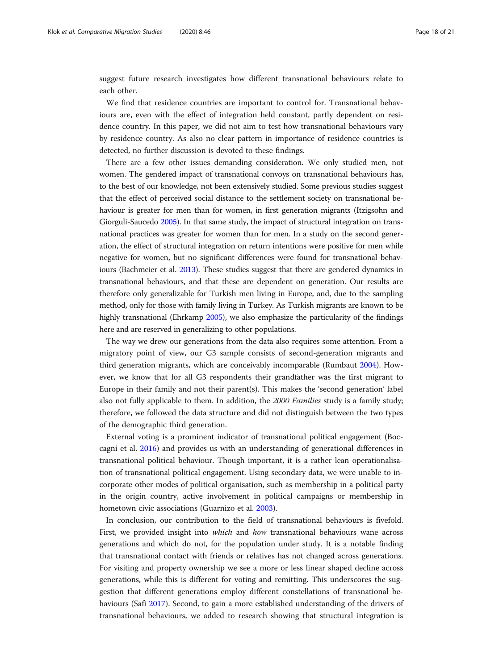suggest future research investigates how different transnational behaviours relate to each other.

We find that residence countries are important to control for. Transnational behaviours are, even with the effect of integration held constant, partly dependent on residence country. In this paper, we did not aim to test how transnational behaviours vary by residence country. As also no clear pattern in importance of residence countries is detected, no further discussion is devoted to these findings.

There are a few other issues demanding consideration. We only studied men, not women. The gendered impact of transnational convoys on transnational behaviours has, to the best of our knowledge, not been extensively studied. Some previous studies suggest that the effect of perceived social distance to the settlement society on transnational behaviour is greater for men than for women, in first generation migrants (Itzigsohn and Giorguli-Saucedo [2005](#page-20-0)). In that same study, the impact of structural integration on transnational practices was greater for women than for men. In a study on the second generation, the effect of structural integration on return intentions were positive for men while negative for women, but no significant differences were found for transnational behaviours (Bachmeier et al. [2013\)](#page-19-0). These studies suggest that there are gendered dynamics in transnational behaviours, and that these are dependent on generation. Our results are therefore only generalizable for Turkish men living in Europe, and, due to the sampling method, only for those with family living in Turkey. As Turkish migrants are known to be highly transnational (Ehrkamp [2005\)](#page-19-0), we also emphasize the particularity of the findings here and are reserved in generalizing to other populations.

The way we drew our generations from the data also requires some attention. From a migratory point of view, our G3 sample consists of second-generation migrants and third generation migrants, which are conceivably incomparable (Rumbaut [2004\)](#page-20-0). However, we know that for all G3 respondents their grandfather was the first migrant to Europe in their family and not their parent(s). This makes the 'second generation' label also not fully applicable to them. In addition, the 2000 Families study is a family study; therefore, we followed the data structure and did not distinguish between the two types of the demographic third generation.

External voting is a prominent indicator of transnational political engagement (Boccagni et al. [2016\)](#page-19-0) and provides us with an understanding of generational differences in transnational political behaviour. Though important, it is a rather lean operationalisation of transnational political engagement. Using secondary data, we were unable to incorporate other modes of political organisation, such as membership in a political party in the origin country, active involvement in political campaigns or membership in hometown civic associations (Guarnizo et al. [2003](#page-19-0)).

In conclusion, our contribution to the field of transnational behaviours is fivefold. First, we provided insight into which and how transnational behaviours wane across generations and which do not, for the population under study. It is a notable finding that transnational contact with friends or relatives has not changed across generations. For visiting and property ownership we see a more or less linear shaped decline across generations, while this is different for voting and remitting. This underscores the suggestion that different generations employ different constellations of transnational behaviours (Safi [2017\)](#page-20-0). Second, to gain a more established understanding of the drivers of transnational behaviours, we added to research showing that structural integration is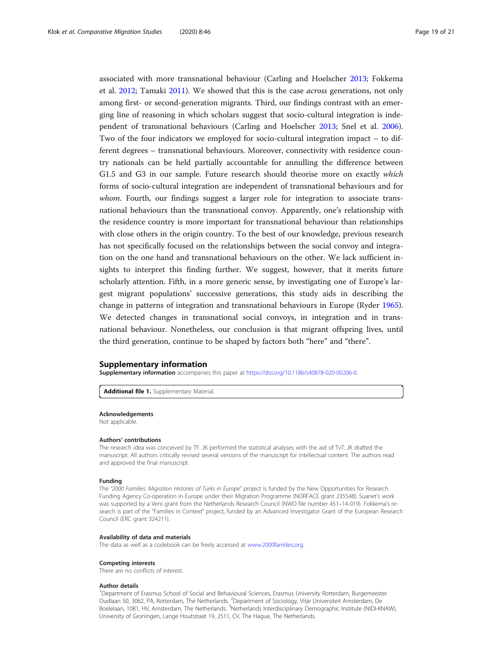<span id="page-18-0"></span>associated with more transnational behaviour (Carling and Hoelscher [2013](#page-19-0); Fokkema et al. [2012](#page-19-0); Tamaki [2011\)](#page-20-0). We showed that this is the case across generations, not only among first- or second-generation migrants. Third, our findings contrast with an emerging line of reasoning in which scholars suggest that socio-cultural integration is independent of transnational behaviours (Carling and Hoelscher [2013;](#page-19-0) Snel et al. [2006](#page-20-0)). Two of the four indicators we employed for socio-cultural integration impact – to different degrees – transnational behaviours. Moreover, connectivity with residence country nationals can be held partially accountable for annulling the difference between G1.5 and G3 in our sample. Future research should theorise more on exactly which forms of socio-cultural integration are independent of transnational behaviours and for whom. Fourth, our findings suggest a larger role for integration to associate transnational behaviours than the transnational convoy. Apparently, one's relationship with the residence country is more important for transnational behaviour than relationships with close others in the origin country. To the best of our knowledge, previous research has not specifically focused on the relationships between the social convoy and integration on the one hand and transnational behaviours on the other. We lack sufficient insights to interpret this finding further. We suggest, however, that it merits future scholarly attention. Fifth, in a more generic sense, by investigating one of Europe's largest migrant populations' successive generations, this study aids in describing the change in patterns of integration and transnational behaviours in Europe (Ryder [1965](#page-20-0)). We detected changes in transnational social convoys, in integration and in transnational behaviour. Nonetheless, our conclusion is that migrant offspring lives, until the third generation, continue to be shaped by factors both "here" and "there".

# Supplementary information

Supplementary information accompanies this paper at <https://doi.org/10.1186/s40878-020-00206-0>.

Additional file 1. Supplementary Material.

#### Acknowledgements

Not applicable.

#### Authors' contributions

The research idea was conceived by TF. JK performed the statistical analyses with the aid of TvT. JK drafted the manuscript. All authors critically revised several versions of the manuscript for intellectual content. The authors read and approved the final manuscript.

#### Funding

The "2000 Families: Migration Histories of Turks in Europe" project is funded by the New Opportunities for Research Funding Agency Co-operation in Europe under their Migration Programme (NORFACE grant 235548). Suanet's work was supported by a Veni grant from the Netherlands Research Council (NWO file number 451–14-019). Fokkema's research is part of the "Families in Context" project, funded by an Advanced Investigator Grant of the European Research Council (ERC grant 324211).

#### Availability of data and materials

The data as well as a codebook can be freely accessed at [www.2000families.org](http://www.2000families.org).

#### Competing interests

There are no conflicts of interest.

#### Author details

<sup>1</sup>Department of Erasmus School of Social and Behavioural Sciences, Erasmus University Rotterdam, Burgemeester Oudlaan 50, 3062, PA, Rotterdam, The Netherlands. <sup>2</sup>Department of Sociology, Vrije Universiteit Amsterdam, De Boelelaan, 1081, HV, Amsterdam, The Netherlands. <sup>3</sup>Netherlands Interdisciplinary Demographic Institute (NIDI-KNAW) University of Groningen, Lange Houtstraat 19, 2511, CV, The Hague, The Netherlands.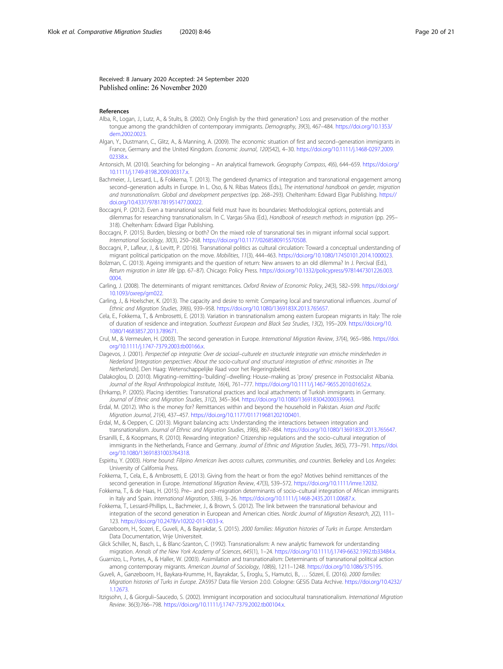## <span id="page-19-0"></span>Received: 8 January 2020 Accepted: 24 September 2020 Published online: 26 November 2020

#### References

- Alba, R., Logan, J., Lutz, A., & Stults, B. (2002). Only English by the third generation? Loss and preservation of the mother tongue among the grandchildren of contemporary immigrants. Demography, 39(3), 467–484. [https://doi.org/10.1353/](https://doi.org/10.1353/dem.2002.0023) [dem.2002.0023](https://doi.org/10.1353/dem.2002.0023).
- Algan, Y., Dustmann, C., Glitz, A., & Manning, A. (2009). The economic situation of first and second–generation immigrants in France, Germany and the United Kingdom. Economic Journal, 120(542), 4–30. [https://doi.org/10.1111/j.1468-0297.2009.](https://doi.org/10.1111/j.1468-0297.2009.02338.x) [02338.x.](https://doi.org/10.1111/j.1468-0297.2009.02338.x)
- Antonsich, M. (2010). Searching for belonging An analytical framework. Geography Compass, 4(6), 644–659. [https://doi.org/](https://doi.org/10.1111/j.1749-8198.2009.00317.x) [10.1111/j.1749-8198.2009.00317.x](https://doi.org/10.1111/j.1749-8198.2009.00317.x).
- Bachmeier, J., Lessard, L., & Fokkema, T. (2013). The gendered dynamics of integration and transnational engagement among second–generation adults in Europe. In L. Oso, & N. Ribas Mateos (Eds.), The international handbook on gender, migration and transnationalism. Global and development perspectives (pp. 268–293). Cheltenham: Edward Elgar Publishing. [https://](https://doi.org/10.4337/9781781951477.00022) [doi.org/10.4337/9781781951477.00022.](https://doi.org/10.4337/9781781951477.00022)

Boccagni, P. (2012). Even a transnational social field must have its boundaries: Methodological options, potentials and dilemmas for researching transnationalism. In C. Vargas-Silva (Ed.), Handbook of research methods in migration (pp. 295– 318). Cheltenham: Edward Elgar Publishing.

- Boccagni, P. (2015). Burden, blessing or both? On the mixed role of transnational ties in migrant informal social support. International Sociology, 30(3), 250–268. <https://doi.org/10.1177/0268580915570508>.
- Boccagni, P., Lafleur, J., & Levitt, P. (2016). Transnational politics as cultural circulation: Toward a conceptual understanding of migrant political participation on the move. Mobilities, 11(3), 444–463. <https://doi.org/10.1080/17450101.2014.1000023>.
- Bolzman, C. (2013). Ageing immigrants and the question of return: New answers to an old dilemma? In J. Percival (Ed.), Return migration in later life (pp. 67–87). Chicago: Policy Press. [https://doi.org/10.1332/policypress/9781447301226.003.](https://doi.org/10.1332/policypress/9781447301226.003.0004) [0004](https://doi.org/10.1332/policypress/9781447301226.003.0004).
- Carling, J. (2008). The determinants of migrant remittances. Oxford Review of Economic Policy, 24(3), 582–599. [https://doi.org/](https://doi.org/10.1093/oxrep/grn022) [10.1093/oxrep/grn022](https://doi.org/10.1093/oxrep/grn022).
- Carling, J., & Hoelscher, K. (2013). The capacity and desire to remit: Comparing local and transnational influences. Journal of Ethnic and Migration Studies, 39(6), 939–958. <https://doi.org/10.1080/1369183X.2013.765657>.
- Cela, E., Fokkema, T., & Ambrosetti, E. (2013). Variation in transnationalism among eastern European migrants in Italy: The role of duration of residence and integration. Southeast European and Black Sea Studies, 13(2), 195–209. [https://doi.org/10.](https://doi.org/10.1080/14683857.2013.789671) [1080/14683857.2013.789671.](https://doi.org/10.1080/14683857.2013.789671)
- Crul, M., & Vermeulen, H. (2003). The second generation in Europe. International Migration Review, 37(4), 965–986. [https://doi.](https://doi.org/10.1111/j.1747-7379.2003.tb00166.x) [org/10.1111/j.1747-7379.2003.tb00166.x](https://doi.org/10.1111/j.1747-7379.2003.tb00166.x).
- Dagevos, J. (2001). Perspectief op integratie: Over de sociaal–culturele en structurele integratie van etnische minderheden in Nederland [Integration perspectives: About the socio-cultural and structural integration of ethnic minorities in The Netherlands]. Den Haag: Wetenschappelijke Raad voor het Regeringsbeleid.

Dalakoglou, D. (2010). Migrating–remitting–'building'–dwelling: House–making as 'proxy' presence in Postsocialist Albania. Journal of the Royal Anthropological Institute, 16(4), 761–777. [https://doi.org/10.1111/j.1467-9655.2010.01652.x.](https://doi.org/10.1111/j.1467-9655.2010.01652.x)

- Ehrkamp, P. (2005). Placing identities: Transnational practices and local attachments of Turkish immigrants in Germany. Journal of Ethnic and Migration Studies, 31(2), 345–364. [https://doi.org/10.1080/1369183042000339963.](https://doi.org/10.1080/1369183042000339963)
- Erdal, M. (2012). Who is the money for? Remittances within and beyond the household in Pakistan. Asian and Pacific Migration Journal, 21(4), 437–457. [https://doi.org/10.1177/011719681202100401.](https://doi.org/10.1177/011719681202100401)
- Erdal, M., & Oeppen, C. (2013). Migrant balancing acts: Understanding the interactions between integration and transnationalism. Journal of Ethnic and Migration Studies, 39(6), 867–884. [https://doi.org/10.1080/1369183X.2013.765647.](https://doi.org/10.1080/1369183X.2013.765647)
- Ersanilli, E., & Koopmans, R. (2010). Rewarding integration? Citizenship regulations and the socio–cultural integration of immigrants in the Netherlands, France and Germany. Journal of Ethnic and Migration Studies, 36(5), 773–791. [https://doi.](https://doi.org/10.1080/13691831003764318) [org/10.1080/13691831003764318.](https://doi.org/10.1080/13691831003764318)
- Espiritu, Y. (2003). Home bound: Filipino American lives across cultures, communities, and countries. Berkeley and Los Angeles: University of California Press.
- Fokkema, T., Cela, E., & Ambrosetti, E. (2013). Giving from the heart or from the ego? Motives behind remittances of the second generation in Europe. International Migration Review, 47(3), 539–572. [https://doi.org/10.1111/imre.12032.](https://doi.org/10.1111/imre.12032)
- Fokkema, T., & de Haas, H. (2015). Pre– and post–migration determinants of socio–cultural integration of African immigrants in Italy and Spain. International Migration, 53(6), 3–26. <https://doi.org/10.1111/j.1468-2435.2011.00687.x>.
- Fokkema, T., Lessard-Phillips, L., Bachmeier, J., & Brown, S. (2012). The link between the transnational behaviour and integration of the second generation in European and American cities. Nordic Journal of Migration Research, 2(2), 111-123. [https://doi.org/10.2478/v10202-011-0033-x.](https://doi.org/10.2478/v10202-011-0033-x)
- Ganzeboom, H., Sozeri, E., Guveli, A., & Bayrakdar, S. (2015). 2000 families: Migration histories of Turks in Europe. Amsterdam Data Documentation, Vrije Universiteit.
- Glick Schiller, N., Basch, L., & Blanc-Szanton, C. (1992). Transnationalism: A new analytic framework for understanding migration. Annals of the New York Academy of Sciences, 645(1), 1–24. <https://doi.org/10.1111/j.1749-6632.1992.tb33484.x>.
- Guarnizo, L., Portes, A., & Haller, W. (2003). Assimilation and transnationalism: Determinants of transnational political action among contemporary migrants. American Journal of Sociology, 108(6), 1211–1248. [https://doi.org/10.1086/375195.](https://doi.org/10.1086/375195)
- Guveli, A., Ganzeboom, H., Baykara-Krumme, H., Bayrakdar, S., Eroglu, S., Hamutci, B., … Sözeri, E. (2016). 2000 families: Migration histories of Turks in Europe. ZA5957 Data file Version 2.0.0. Cologne: GESIS Data Archive. [https://doi.org/10.4232/](https://doi.org/10.4232/1.12673) [1.12673](https://doi.org/10.4232/1.12673).
- Itzigsohn, J., & Giorguli–Saucedo, S. (2002). Immigrant incorporation and sociocultural transnationalism. International Migration Review. 36(3):766–798. [https://doi.org/10.1111/j.1747-7379.2002.tb00104.x.](https://doi.org/10.1111/j.1747-7379.2002.tb00104.x)